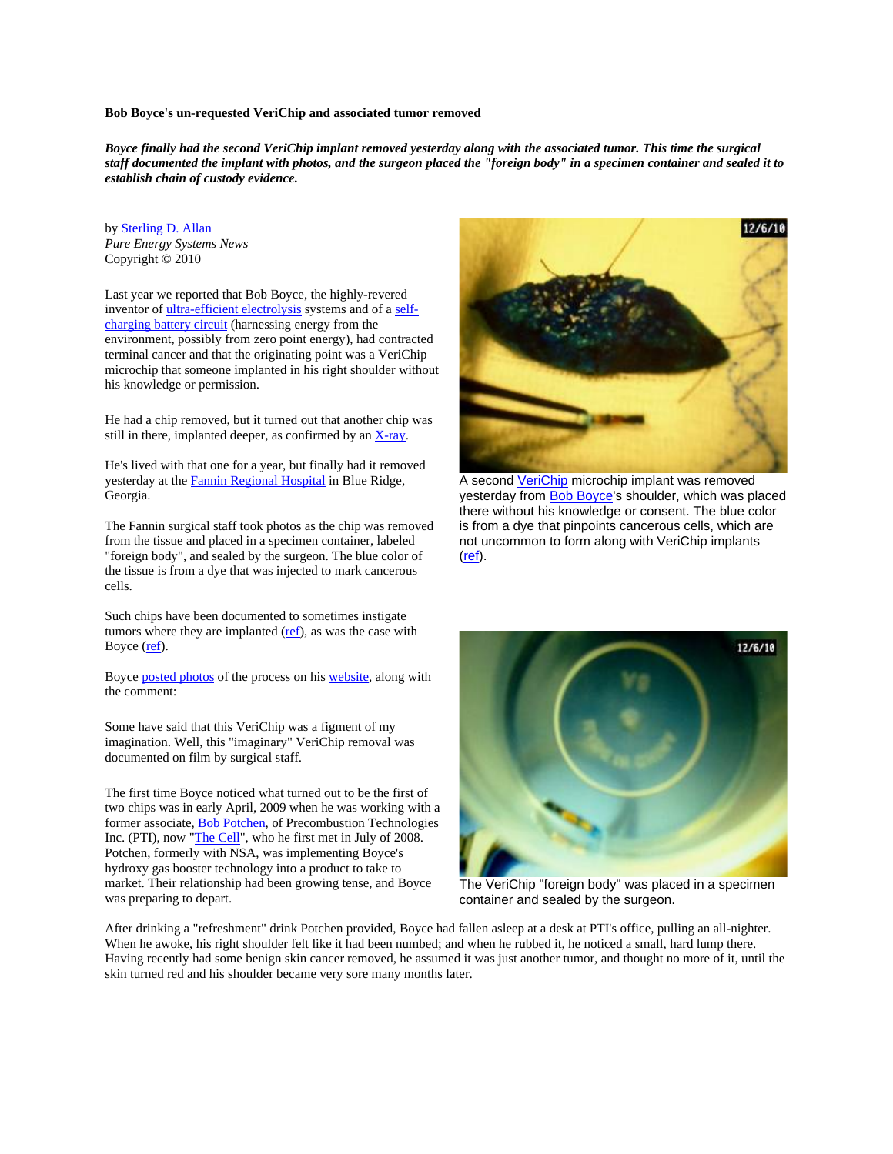### **Bob Boyce's un-requested VeriChip and associated tumor removed**

*Boyce finally had the second VeriChip implant removed yesterday along with the associated tumor. This time the surgical staff documented the implant with photos, and the surgeon placed the "foreign body" in a specimen container and sealed it to establish chain of custody evidence.*

by Sterling D. Allan *Pure Energy Systems News*  Copyright © 2010

Last year we reported that Bob Boyce, the highly-revered inventor of ultra-efficient electrolysis systems and of a selfcharging battery circuit (harnessing energy from the environment, possibly from zero point energy), had contracted terminal cancer and that the originating point was a VeriChip microchip that someone implanted in his right shoulder without his knowledge or permission.

He had a chip removed, but it turned out that another chip was still in there, implanted deeper, as confirmed by an X-ray.

He's lived with that one for a year, but finally had it removed yesterday at the Fannin Regional Hospital in Blue Ridge, Georgia.

The Fannin surgical staff took photos as the chip was removed from the tissue and placed in a specimen container, labeled "foreign body", and sealed by the surgeon. The blue color of the tissue is from a dye that was injected to mark cancerous cells.

Such chips have been documented to sometimes instigate tumors where they are implanted  $(ref)$ , as was the case with Boyce (ref).

Boyce posted photos of the process on his website, along with the comment:

Some have said that this VeriChip was a figment of my imagination. Well, this "imaginary" VeriChip removal was documented on film by surgical staff.

The first time Boyce noticed what turned out to be the first of two chips was in early April, 2009 when he was working with a former associate, Bob Potchen, of Precombustion Technologies Inc. (PTI), now "The Cell", who he first met in July of 2008. Potchen, formerly with NSA, was implementing Boyce's hydroxy gas booster technology into a product to take to market. Their relationship had been growing tense, and Boyce was preparing to depart.



A second VeriChip microchip implant was removed yesterday from Bob Boyce's shoulder, which was placed there without his knowledge or consent. The blue color is from a dye that pinpoints cancerous cells, which are not uncommon to form along with VeriChip implants (ref).



The VeriChip "foreign body" was placed in a specimen container and sealed by the surgeon.

After drinking a "refreshment" drink Potchen provided, Boyce had fallen asleep at a desk at PTI's office, pulling an all-nighter. When he awoke, his right shoulder felt like it had been numbed; and when he rubbed it, he noticed a small, hard lump there. Having recently had some benign skin cancer removed, he assumed it was just another tumor, and thought no more of it, until the skin turned red and his shoulder became very sore many months later.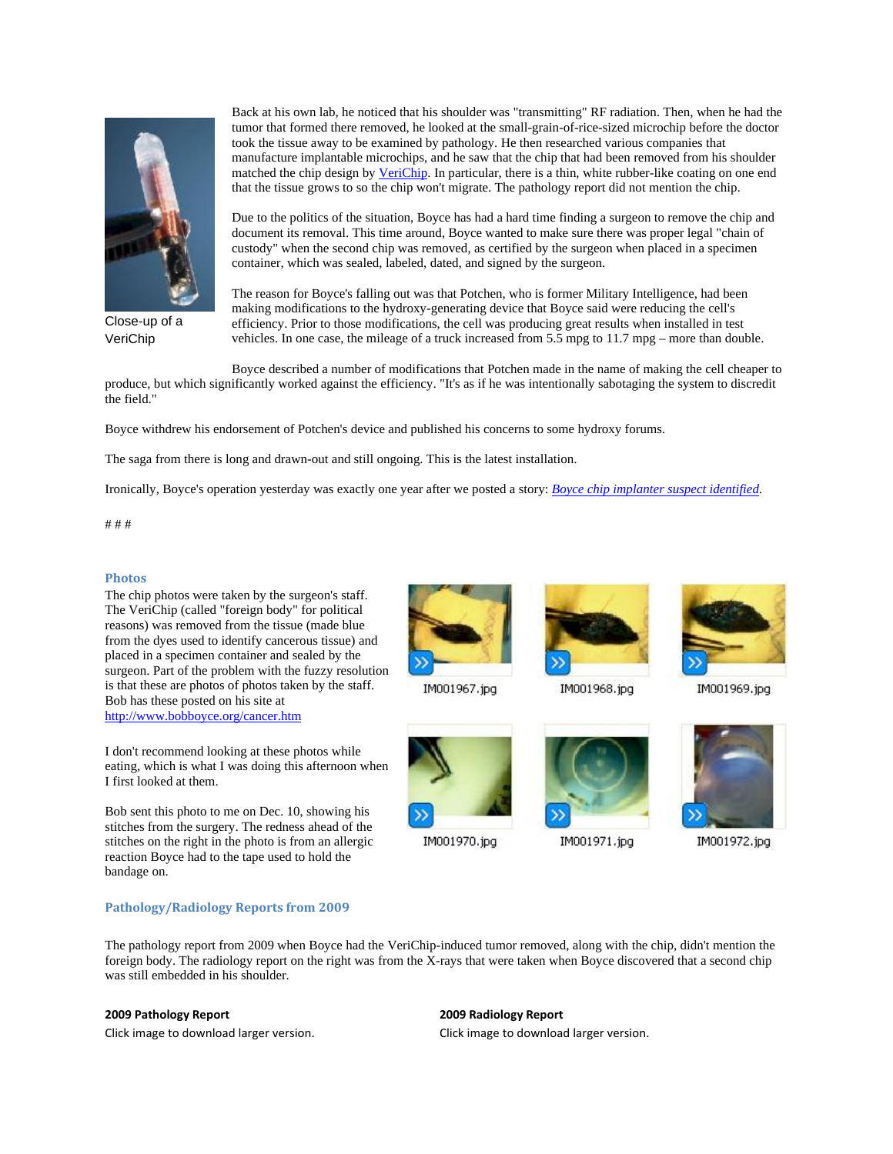

Close-up of a VeriChip

Back at his own lab, he noticed that his shoulder was "transmitting" RF radiation. Then, when he had the tumor that formed there removed, he looked at the small-grain-of-rice-sized microchip before the doctor took the tissue away to be examined by pathology. He then researched various companies that manufacture implantable microchips, and he saw that the chip that had been removed from his shoulder matched the chip design by VeriChip. In particular, there is a thin, white rubber-like coating on one end that the tissue grows to so the chip won't migrate. The pathology report did not mention the chip.

Due to the politics of the situation, Boyce has had a hard time finding a surgeon to remove the chip and document its removal. This time around, Boyce wanted to make sure there was proper legal "chain of custody" when the second chip was removed, as certified by the surgeon when placed in a specimen container, which was sealed, labeled, dated, and signed by the surgeon.

The reason for Boyce's falling out was that Potchen, who is former Military Intelligence, had been making modifications to the hydroxy-generating device that Boyce said were reducing the cell's efficiency. Prior to those modifications, the cell was producing great results when installed in test vehicles. In one case, the mileage of a truck increased from  $5.5$  mpg to  $11.7$  mpg – more than double.

Boyce described a number of modifications that Potchen made in the name of making the cell cheaper to produce, but which significantly worked against the efficiency. "It's as if he was intentionally sabotaging the system to discredit the field."

Boyce withdrew his endorsement of Potchen's device and published his concerns to some hydroxy forums.

The saga from there is long and drawn-out and still ongoing. This is the latest installation.

Ironically, Boyce's operation yesterday was exactly one year after we posted a story: *Boyce chip implanter suspect identified*.

# # #

### **Photos**

The chip photos were taken by the surgeon's staff. The VeriChip (called "foreign body" for political reasons) was removed from the tissue (made blue from the dyes used to identify cancerous tissue) and placed in a specimen container and sealed by the surgeon. Part of the problem with the fuzzy resolution is that these are photos of photos taken by the staff. Bob has these posted on his site at http://www.bobboyce.org/cancer.htm

I don't recommend looking at these photos while eating, which is what I was doing this afternoon when I first looked at them.

Bob sent this photo to me on Dec. 10, showing his stitches from the surgery. The redness ahead of the stitches on the right in the photo is from an allergic reaction Boyce had to the tape used to hold the bandage on.

### **Pathology/Radiology Reports from 2009**





IM001970.jpg



IM001968.jpg



IM001971.jpg



IM001969.jpg



IM001972.jpg

The pathology report from 2009 when Boyce had the VeriChip-induced tumor removed, along with the chip, didn't mention the foreign body. The radiology report on the right was from the X-rays that were taken when Boyce discovered that a second chip was still embedded in his shoulder.

# **2009 Pathology Report**

Click image to download larger version.

### **2009 Radiology Report**

Click image to download larger version.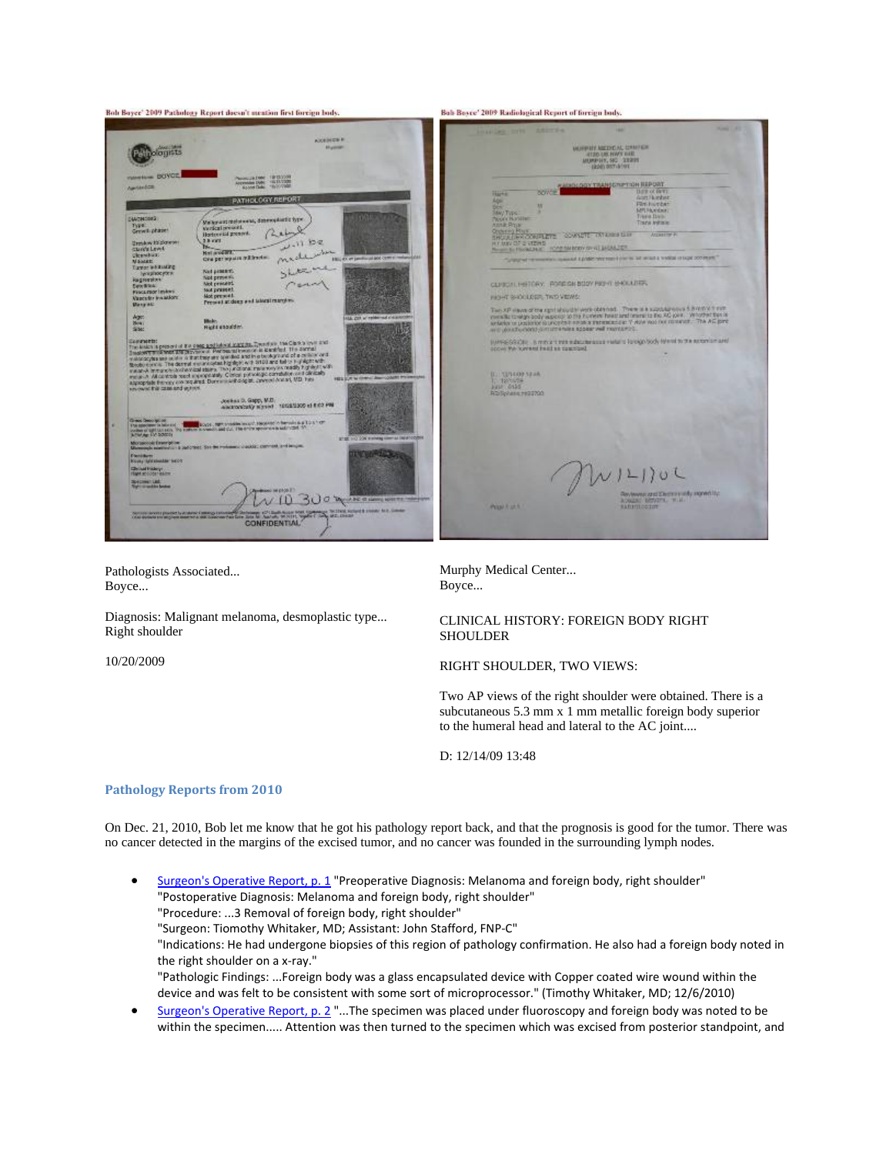

Pathologists Associated... Boyce...

Diagnosis: Malignant melanoma, desmoplastic type... Right shoulder

10/20/2009

Murphy Medical Center... Boyce...

## CLINICAL HISTORY: FOREIGN BODY RIGHT SHOULDER

RIGHT SHOULDER, TWO VIEWS:

Two AP views of the right shoulder were obtained. There is a subcutaneous 5.3 mm x 1 mm metallic foreign body superior to the humeral head and lateral to the AC joint....

D: 12/14/09 13:48

# **Pathology Reports from 2010**

On Dec. 21, 2010, Bob let me know that he got his pathology report back, and that the prognosis is good for the tumor. There was no cancer detected in the margins of the excised tumor, and no cancer was founded in the surrounding lymph nodes.

Surgeon's Operative Report, p. 1 "Preoperative Diagnosis: Melanoma and foreign body, right shoulder" "Postoperative Diagnosis: Melanoma and foreign body, right shoulder" "Procedure: ...3 Removal of foreign body, right shoulder" "Surgeon: Tiomothy Whitaker, MD; Assistant: John Stafford, FNP‐C" "Indications: He had undergone biopsies of this region of pathology confirmation. He also had a foreign body noted in the right shoulder on a x‐ray." "Pathologic Findings: ...Foreign body was a glass encapsulated device with Copper coated wire wound within the device and was felt to be consistent with some sort of microprocessor." (Timothy Whitaker, MD; 12/6/2010)

• Surgeon's Operative Report, p. 2 "...The specimen was placed under fluoroscopy and foreign body was noted to be within the specimen..... Attention was then turned to the specimen which was excised from posterior standpoint, and